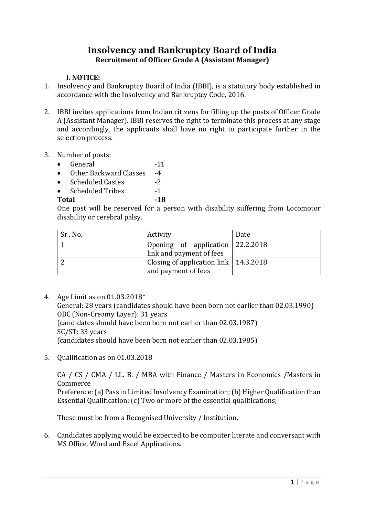# **Insolvency and Bankruptcy Board of India Recruitment of Officer Grade A (Assistant Manager)**

### **I. NOTICE:**

- 1. Insolvency and Bankruptcy Board of India (IBBI), is a statutory body established in accordance with the Insolvency and Bankruptcy Code, 2016.
- 2. IBBI invites applications from Indian citizens for filling up the posts of Officer Grade A (Assistant Manager). IBBI reserves the right to terminate this process at any stage and accordingly, the applicants shall have no right to participate further in the selection process.
- 3. Number of posts:
	- General -11
	- Other Backward Classes -4
	- Scheduled Castes -2
	- Scheduled Tribes -1

### Total -18

One post will be reserved for a person with disability suffering from Locomotor disability or cerebral palsy.

| Sr.No. | Activity                                                         | Date |
|--------|------------------------------------------------------------------|------|
|        | Opening of application 22.2.2018<br>link and payment of fees     |      |
|        | Closing of application link   $14.3.2018$<br>and payment of fees |      |

4. Age Limit as on 01.03.2018\*

General: 28 years (candidates should have been born not earlier than 02.03.1990) OBC (Non-Creamy Layer): 31 years (candidates should have been born not earlier than 02.03.1987) SC/ST: 33 years (candidates should have been born not earlier than 02.03.1985)

5. Qualification as on 01.03.2018

CA / CS / CMA / LL. B. / MBA with Finance / Masters in Economics /Masters in Commerce

Preference: (a) Pass in Limited Insolvency Examination; (b) Higher Qualification than Essential Qualification; (c) Two or more of the essential qualifications;

These must be from a Recognised University / Institution.

6. Candidates applying would be expected to be computer literate and conversant with MS Office, Word and Excel Applications.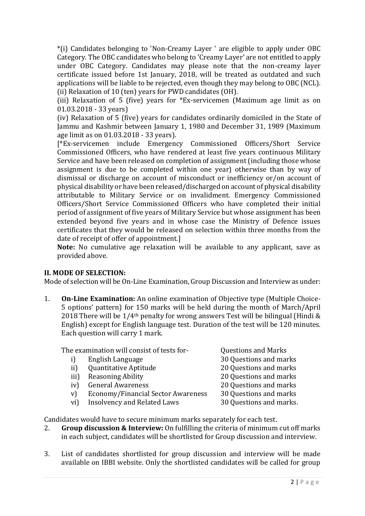\*(i) Candidates belonging to 'Non-Creamy Layer ' are eligible to apply under OBC Category. The OBC candidates who belong to 'Creamy Layer' are not entitled to apply under OBC Category. Candidates may please note that the non-creamy layer certificate issued before 1st January, 2018, will be treated as outdated and such applications will be liable to be rejected, even though they may belong to OBC (NCL). (ii) Relaxation of 10 (ten) years for PWD candidates (OH).

(iii) Relaxation of 5 (five) years for \*Ex-servicemen (Maximum age limit as on 01.03.2018 - 33 years)

(iv) Relaxation of 5 (five) years for candidates ordinarily domiciled in the State of Jammu and Kashmir between January 1, 1980 and December 31, 1989 (Maximum age limit as on 01.03.2018 - 33 years).

[\*Ex-servicemen include Emergency Commissioned Officers/Short Service Commissioned Officers, who have rendered at least five years continuous Military Service and have been released on completion of assignment (including those whose assignment is due to be completed within one year) otherwise than by way of dismissal or discharge on account of misconduct or inefficiency or/on account of physical disability or have been released/discharged on account of physical disability attributable to Military Service or on invalidment. Emergency Commissioned Officers/Short Service Commissioned Officers who have completed their initial period of assignment of five years of Military Service but whose assignment has been extended beyond five years and in whose case the Ministry of Defence issues certificates that they would be released on selection within three months from the date of receipt of offer of appointment.]

**Note:** No cumulative age relaxation will be available to any applicant, save as provided above.

### **II. MODE OF SELECTION:**

Mode of selection will be On-Line Examination, Group Discussion and Interview as under:

1. **On-Line Examination:** An online examination of Objective type (Multiple Choice-5 options' pattern) for 150 marks will be held during the month of March/April 2018 There will be  $1/4$ <sup>th</sup> penalty for wrong answers Test will be bilingual (Hindi & English) except for English language test. Duration of the test will be 120 minutes. Each question will carry 1 mark.

The examination will consist of tests for- Questions and Marks

i) English Language 30 Questions and marks ii) Quantitative Aptitude 20 Questions and marks iii) Reasoning Ability 20 Ouestions and marks iv) General Awareness 20 Questions and marks v) Economy/Financial Sector Awareness 30 Questions and marks vi) Insolvency and Related Laws 30 Questions and marks.

Candidates would have to secure minimum marks separately for each test.

- 2. **Group discussion & Interview:** On fulfilling the criteria of minimum cut off marks in each subject, candidates will be shortlisted for Group discussion and interview.
- 3. List of candidates shortlisted for group discussion and interview will be made available on IBBI website. Only the shortlisted candidates will be called for group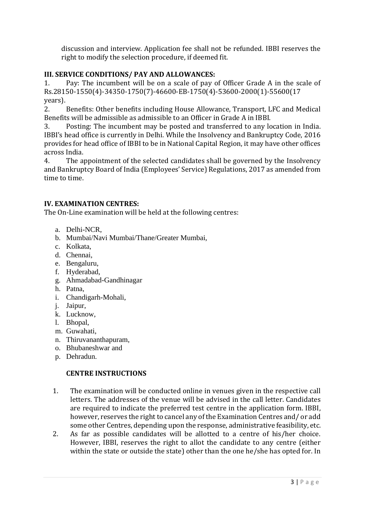discussion and interview. Application fee shall not be refunded. IBBI reserves the right to modify the selection procedure, if deemed fit.

### **III. SERVICE CONDITIONS/ PAY AND ALLOWANCES:**

1. Pay: The incumbent will be on a scale of pay of Officer Grade A in the scale of Rs.28150-1550(4)-34350-1750(7)-46600-EB-1750(4)-53600-2000(1)-55600(17 years).

2. Benefits: Other benefits including House Allowance, Transport, LFC and Medical Benefits will be admissible as admissible to an Officer in Grade A in IBBI.

3. Posting: The incumbent may be posted and transferred to any location in India. IBBI's head office is currently in Delhi. While the Insolvency and Bankruptcy Code, 2016 provides for head office of IBBI to be in National Capital Region, it may have other offices across India.

4. The appointment of the selected candidates shall be governed by the Insolvency and Bankruptcy Board of India (Employees' Service) Regulations, 2017 as amended from time to time.

### **IV. EXAMINATION CENTRES:**

The On-Line examination will be held at the following centres:

- a. Delhi-NCR,
- b. Mumbai/Navi Mumbai/Thane/Greater Mumbai,
- c. Kolkata,
- d. Chennai,
- e. Bengaluru,
- f. Hyderabad,
- g. Ahmadabad-Gandhinagar
- h. Patna,
- i. Chandigarh-Mohali,
- j. Jaipur,
- k. Lucknow,
- l. Bhopal,
- m. Guwahati,
- n. Thiruvananthapuram,
- o. Bhubaneshwar and
- p. Dehradun.

### **CENTRE INSTRUCTIONS**

- 1. The examination will be conducted online in venues given in the respective call letters. The addresses of the venue will be advised in the call letter. Candidates are required to indicate the preferred test centre in the application form. IBBI, however, reserves the right to cancel any of the Examination Centres and/ or add some other Centres, depending upon the response, administrative feasibility, etc.
- 2. As far as possible candidates will be allotted to a centre of his/her choice. However, IBBI, reserves the right to allot the candidate to any centre (either within the state or outside the state) other than the one he/she has opted for. In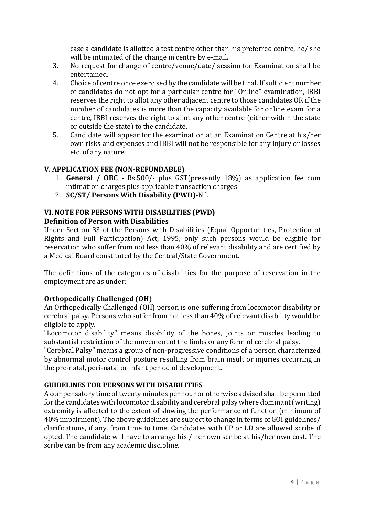case a candidate is allotted a test centre other than his preferred centre, he/ she will be intimated of the change in centre by e-mail.

- 3. No request for change of centre/venue/date/ session for Examination shall be entertained.
- 4. Choice of centre once exercised by the candidate will be final. If sufficient number of candidates do not opt for a particular centre for "Online" examination, IBBI reserves the right to allot any other adjacent centre to those candidates OR if the number of candidates is more than the capacity available for online exam for a centre, IBBI reserves the right to allot any other centre (either within the state or outside the state) to the candidate.
- 5. Candidate will appear for the examination at an Examination Centre at his/her own risks and expenses and IBBI will not be responsible for any injury or losses etc. of any nature.

## **V. APPLICATION FEE (NON-REFUNDABLE)**

- 1. **General / OBC** Rs.500/- plus GST(presently 18%) as application fee cum intimation charges plus applicable transaction charges
- 2. **SC/ST/ Persons With Disability (PWD)-**Nil.

### **VI. NOTE FOR PERSONS WITH DISABILITIES (PWD) Definition of Person with Disabilities**

Under Section 33 of the Persons with Disabilities (Equal Opportunities, Protection of Rights and Full Participation) Act, 1995, only such persons would be eligible for reservation who suffer from not less than 40% of relevant disability and are certified by a Medical Board constituted by the Central/State Government.

The definitions of the categories of disabilities for the purpose of reservation in the employment are as under:

### **Orthopedically Challenged (OH**)

An Orthopedically Challenged (OH) person is one suffering from locomotor disability or cerebral palsy. Persons who suffer from not less than 40% of relevant disability would be eligible to apply.

"Locomotor disability" means disability of the bones, joints or muscles leading to substantial restriction of the movement of the limbs or any form of cerebral palsy.

"Cerebral Palsy" means a group of non-progressive conditions of a person characterized by abnormal motor control posture resulting from brain insult or injuries occurring in the pre-natal, peri-natal or infant period of development.

### **GUIDELINES FOR PERSONS WITH DISABILITIES**

A compensatory time of twenty minutes per hour or otherwise advised shall be permitted for the candidates with locomotor disability and cerebral palsy where dominant (writing) extremity is affected to the extent of slowing the performance of function (minimum of 40% impairment). The above guidelines are subject to change in terms of GOI guidelines/ clarifications, if any, from time to time. Candidates with CP or LD are allowed scribe if opted. The candidate will have to arrange his / her own scribe at his/her own cost. The scribe can be from any academic discipline.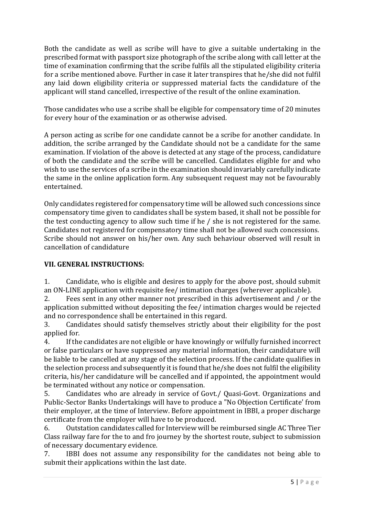Both the candidate as well as scribe will have to give a suitable undertaking in the prescribed format with passport size photograph of the scribe along with call letter at the time of examination confirming that the scribe fulfils all the stipulated eligibility criteria for a scribe mentioned above. Further in case it later transpires that he/she did not fulfil any laid down eligibility criteria or suppressed material facts the candidature of the applicant will stand cancelled, irrespective of the result of the online examination.

Those candidates who use a scribe shall be eligible for compensatory time of 20 minutes for every hour of the examination or as otherwise advised.

A person acting as scribe for one candidate cannot be a scribe for another candidate. In addition, the scribe arranged by the Candidate should not be a candidate for the same examination. If violation of the above is detected at any stage of the process, candidature of both the candidate and the scribe will be cancelled. Candidates eligible for and who wish to use the services of a scribe in the examination should invariably carefully indicate the same in the online application form. Any subsequent request may not be favourably entertained.

Only candidates registered for compensatory time will be allowed such concessions since compensatory time given to candidates shall be system based, it shall not be possible for the test conducting agency to allow such time if he / she is not registered for the same. Candidates not registered for compensatory time shall not be allowed such concessions. Scribe should not answer on his/her own. Any such behaviour observed will result in cancellation of candidature

## **VII. GENERAL INSTRUCTIONS:**

1. Candidate, who is eligible and desires to apply for the above post, should submit an ON-LINE application with requisite fee/ intimation charges (wherever applicable).

2. Fees sent in any other manner not prescribed in this advertisement and / or the application submitted without depositing the fee/ intimation charges would be rejected and no correspondence shall be entertained in this regard.

3. Candidates should satisfy themselves strictly about their eligibility for the post applied for.

4. If the candidates are not eligible or have knowingly or wilfully furnished incorrect or false particulars or have suppressed any material information, their candidature will be liable to be cancelled at any stage of the selection process. If the candidate qualifies in the selection process and subsequently it is found that he/she does not fulfil the eligibility criteria, his/her candidature will be cancelled and if appointed, the appointment would be terminated without any notice or compensation.

5. Candidates who are already in service of Govt./ Quasi-Govt. Organizations and Public-Sector Banks Undertakings will have to produce a "No Objection Certificate' from their employer, at the time of Interview. Before appointment in IBBI, a proper discharge certificate from the employer will have to be produced.

6. Outstation candidates called for Interview will be reimbursed single AC Three Tier Class railway fare for the to and fro journey by the shortest route, subject to submission of necessary documentary evidence.

7. IBBI does not assume any responsibility for the candidates not being able to submit their applications within the last date.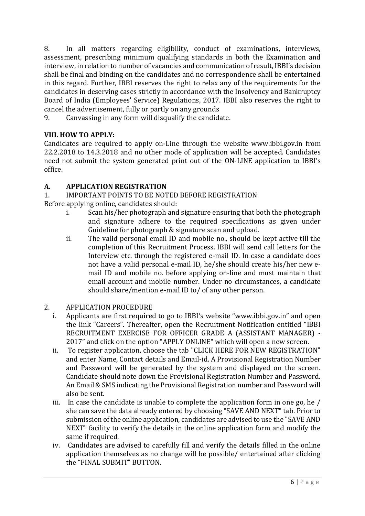8. In all matters regarding eligibility, conduct of examinations, interviews, assessment, prescribing minimum qualifying standards in both the Examination and interview, in relation to number of vacancies and communication of result, IBBI's decision shall be final and binding on the candidates and no correspondence shall be entertained in this regard. Further, IBBI reserves the right to relax any of the requirements for the candidates in deserving cases strictly in accordance with the Insolvency and Bankruptcy Board of India (Employees' Service) Regulations, 2017. IBBI also reserves the right to cancel the advertisement, fully or partly on any grounds

9. Canvassing in any form will disqualify the candidate.

## **VIII. HOW TO APPLY:**

Candidates are required to apply on-Line through the website www.ibbi.gov.in from 22.2.2018 to 14.3.2018 and no other mode of application will be accepted. Candidates need not submit the system generated print out of the ON-LINE application to IBBI's office.

### **A. APPLICATION REGISTRATION**

1. IMPORTANT POINTS TO BE NOTED BEFORE REGISTRATION Before applying online, candidates should:

- i. Scan his/her photograph and signature ensuring that both the photograph and signature adhere to the required specifications as given under Guideline for photograph & signature scan and upload.
- ii. The valid personal email ID and mobile no., should be kept active till the completion of this Recruitment Process. IBBI will send call letters for the Interview etc. through the registered e-mail ID. In case a candidate does not have a valid personal e-mail ID, he/she should create his/her new email ID and mobile no. before applying on-line and must maintain that email account and mobile number. Under no circumstances, a candidate should share/mention e-mail ID to/ of any other person.
- 2. APPLICATION PROCEDURE
	- i. Applicants are first required to go to IBBI's website "www.ibbi.gov.in" and open the link "Careers". Thereafter, open the Recruitment Notification entitled "IBBI RECRUITMENT EXERCISE FOR OFFICER GRADE A (ASSISTANT MANAGER) - 2017" and click on the option "APPLY ONLINE" which will open a new screen.
	- ii. To register application, choose the tab "CLICK HERE FOR NEW REGISTRATION" and enter Name, Contact details and Email-id. A Provisional Registration Number and Password will be generated by the system and displayed on the screen. Candidate should note down the Provisional Registration Number and Password. An Email & SMS indicating the Provisional Registration number and Password will also be sent.
	- iii. In case the candidate is unable to complete the application form in one go, he / she can save the data already entered by choosing "SAVE AND NEXT" tab. Prior to submission of the online application, candidates are advised to use the "SAVE AND NEXT" facility to verify the details in the online application form and modify the same if required.
	- iv. Candidates are advised to carefully fill and verify the details filled in the online application themselves as no change will be possible/ entertained after clicking the "FINAL SUBMIT" BUTTON.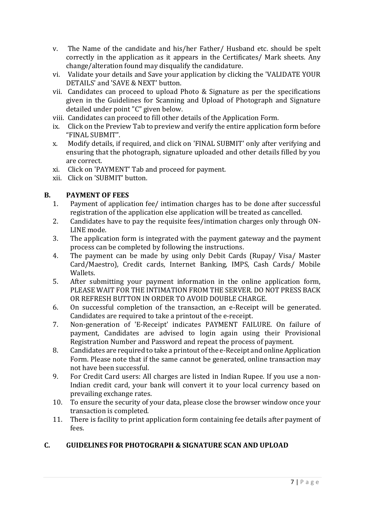- v. The Name of the candidate and his/her Father/ Husband etc. should be spelt correctly in the application as it appears in the Certificates/ Mark sheets. Any change/alteration found may disqualify the candidature.
- vi. Validate your details and Save your application by clicking the 'VALIDATE YOUR DETAILS' and 'SAVE & NEXT' button.
- vii. Candidates can proceed to upload Photo & Signature as per the specifications given in the Guidelines for Scanning and Upload of Photograph and Signature detailed under point "C" given below.
- viii. Candidates can proceed to fill other details of the Application Form.
- ix. Click on the Preview Tab to preview and verify the entire application form before "FINAL SUBMIT".
- x. Modify details, if required, and click on 'FINAL SUBMIT' only after verifying and ensuring that the photograph, signature uploaded and other details filled by you are correct.
- xi. Click on 'PAYMENT' Tab and proceed for payment.
- xii. Click on 'SUBMIT' button.

### **B. PAYMENT OF FEES**

- 1. Payment of application fee/ intimation charges has to be done after successful registration of the application else application will be treated as cancelled.
- 2. Candidates have to pay the requisite fees/intimation charges only through ON-LINE mode.
- 3. The application form is integrated with the payment gateway and the payment process can be completed by following the instructions.
- 4. The payment can be made by using only Debit Cards (Rupay/ Visa/ Master Card/Maestro), Credit cards, Internet Banking, IMPS, Cash Cards/ Mobile Wallets.
- 5. After submitting your payment information in the online application form, PLEASE WAIT FOR THE INTIMATION FROM THE SERVER. DO NOT PRESS BACK OR REFRESH BUTTON IN ORDER TO AVOID DOUBLE CHARGE.
- 6. On successful completion of the transaction, an e-Receipt will be generated. Candidates are required to take a printout of the e-receipt.
- 7. Non-generation of 'E-Receipt' indicates PAYMENT FAILURE. On failure of payment, Candidates are advised to login again using their Provisional Registration Number and Password and repeat the process of payment.
- 8. Candidates are required to take a printout of the e-Receipt and online Application Form. Please note that if the same cannot be generated, online transaction may not have been successful.
- 9. For Credit Card users: All charges are listed in Indian Rupee. If you use a non-Indian credit card, your bank will convert it to your local currency based on prevailing exchange rates.
- 10. To ensure the security of your data, please close the browser window once your transaction is completed.
- 11. There is facility to print application form containing fee details after payment of fees.

### **C. GUIDELINES FOR PHOTOGRAPH & SIGNATURE SCAN AND UPLOAD**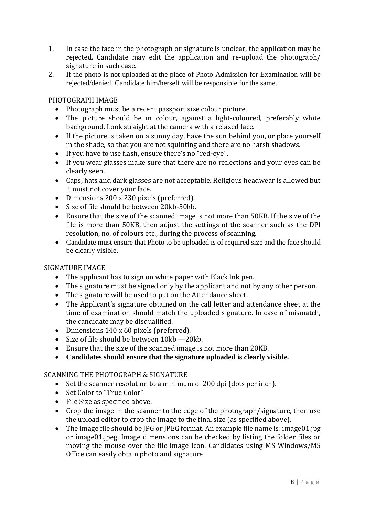- 1. In case the face in the photograph or signature is unclear, the application may be rejected. Candidate may edit the application and re-upload the photograph/ signature in such case.
- 2. If the photo is not uploaded at the place of Photo Admission for Examination will be rejected/denied. Candidate him/herself will be responsible for the same.

### PHOTOGRAPH IMAGE

- Photograph must be a recent passport size colour picture.
- The picture should be in colour, against a light-coloured, preferably white background. Look straight at the camera with a relaxed face.
- If the picture is taken on a sunny day, have the sun behind you, or place yourself in the shade, so that you are not squinting and there are no harsh shadows.
- If you have to use flash, ensure there's no "red-eye".
- If you wear glasses make sure that there are no reflections and your eyes can be clearly seen.
- Caps, hats and dark glasses are not acceptable. Religious headwear is allowed but it must not cover your face.
- Dimensions 200 x 230 pixels (preferred).
- Size of file should be between 20kb-50kb.
- Ensure that the size of the scanned image is not more than 50KB. If the size of the file is more than 50KB, then adjust the settings of the scanner such as the DPI resolution, no. of colours etc., during the process of scanning.
- Candidate must ensure that Photo to be uploaded is of required size and the face should be clearly visible.

### SIGNATURE IMAGE

- The applicant has to sign on white paper with Black Ink pen.
- The signature must be signed only by the applicant and not by any other person.
- The signature will be used to put on the Attendance sheet.
- The Applicant's signature obtained on the call letter and attendance sheet at the time of examination should match the uploaded signature. In case of mismatch, the candidate may be disqualified.
- Dimensions 140 x 60 pixels (preferred).
- Size of file should be between 10kb -20kb.
- Ensure that the size of the scanned image is not more than 20KB.
- **Candidates should ensure that the signature uploaded is clearly visible.**

### SCANNING THE PHOTOGRAPH & SIGNATURE

- Set the scanner resolution to a minimum of 200 dpi (dots per inch).
- Set Color to "True Color"
- File Size as specified above.
- Crop the image in the scanner to the edge of the photograph/signature, then use the upload editor to crop the image to the final size (as specified above).
- The image file should be IPG or IPEG format. An example file name is: image01.jpg or image01.jpeg. Image dimensions can be checked by listing the folder files or moving the mouse over the file image icon. Candidates using MS Windows/MS Office can easily obtain photo and signature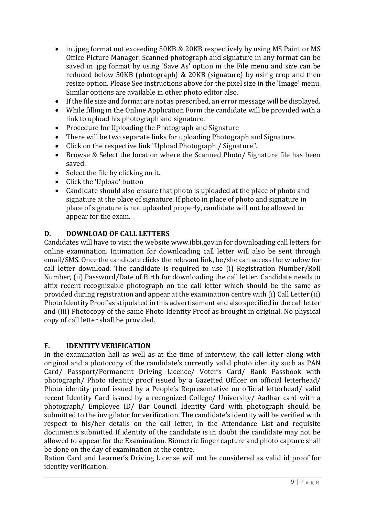- in .jpeg format not exceeding 50KB & 20KB respectively by using MS Paint or MS Office Picture Manager. Scanned photograph and signature in any format can be saved in .jpg format by using 'Save As' option in the File menu and size can be reduced below 50KB (photograph) & 20KB (signature) by using crop and then resize option. Please See instructions above for the pixel size in the 'Image' menu. Similar options are available in other photo editor also.
- If the file size and format are not as prescribed, an error message will be displayed.
- While filling in the Online Application Form the candidate will be provided with a link to upload his photograph and signature.
- Procedure for Uploading the Photograph and Signature
- There will be two separate links for uploading Photograph and Signature.
- Click on the respective link "Upload Photograph / Signature".
- Browse & Select the location where the Scanned Photo/ Signature file has been saved.
- Select the file by clicking on it.
- Click the 'Upload' button
- Candidate should also ensure that photo is uploaded at the place of photo and signature at the place of signature. If photo in place of photo and signature in place of signature is not uploaded properly, candidate will not be allowed to appear for the exam.

### **D. DOWNLOAD OF CALL LETTERS**

Candidates will have to visit the website www.ibbi.gov.in for downloading call letters for online examination. Intimation for downloading call letter will also be sent through email/SMS. Once the candidate clicks the relevant link, he/she can access the window for call letter download. The candidate is required to use (i) Registration Number/Roll Number, (ii) Password/Date of Birth for downloading the call letter. Candidate needs to affix recent recognizable photograph on the call letter which should be the same as provided during registration and appear at the examination centre with (i) Call Letter (ii) Photo Identity Proof as stipulated in this advertisement and also specified in the call letter and (iii) Photocopy of the same Photo Identity Proof as brought in original. No physical copy of call letter shall be provided.

#### **F. IDENTITY VERIFICATION**

In the examination hall as well as at the time of interview, the call letter along with original and a photocopy of the candidate's currently valid photo identity such as PAN Card/ Passport/Permanent Driving Licence/ Voter's Card/ Bank Passbook with photograph/ Photo identity proof issued by a Gazetted Officer on official letterhead/ Photo identity proof issued by a People's Representative on official letterhead/ valid recent Identity Card issued by a recognized College/ University/ Aadhar card with a photograph/ Employee ID/ Bar Council Identity Card with photograph should be submitted to the invigilator for verification. The candidate's identity will be verified with respect to his/her details on the call letter, in the Attendance List and requisite documents submitted If identity of the candidate is in doubt the candidate may not be allowed to appear for the Examination. Biometric finger capture and photo capture shall be done on the day of examination at the centre.

Ration Card and Learner's Driving License will not be considered as valid id proof for identity verification.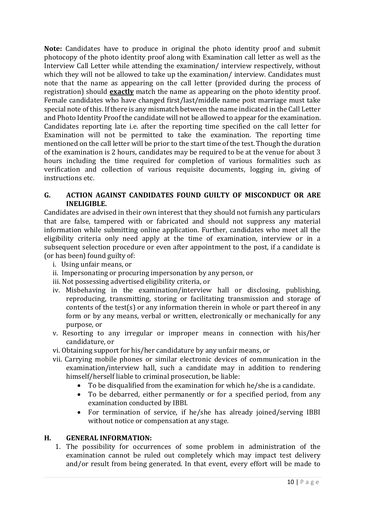**Note:** Candidates have to produce in original the photo identity proof and submit photocopy of the photo identity proof along with Examination call letter as well as the Interview Call Letter while attending the examination/ interview respectively, without which they will not be allowed to take up the examination/ interview. Candidates must note that the name as appearing on the call letter (provided during the process of registration) should **exactly** match the name as appearing on the photo identity proof. Female candidates who have changed first/last/middle name post marriage must take special note of this. If there is any mismatch between the name indicated in the Call Letter and Photo Identity Proof the candidate will not be allowed to appear for the examination. Candidates reporting late i.e. after the reporting time specified on the call letter for Examination will not be permitted to take the examination. The reporting time mentioned on the call letter will be prior to the start time of the test. Though the duration of the examination is 2 hours, candidates may be required to be at the venue for about 3 hours including the time required for completion of various formalities such as verification and collection of various requisite documents, logging in, giving of instructions etc.

### **G. ACTION AGAINST CANDIDATES FOUND GUILTY OF MISCONDUCT OR ARE INELIGIBLE.**

Candidates are advised in their own interest that they should not furnish any particulars that are false, tampered with or fabricated and should not suppress any material information while submitting online application. Further, candidates who meet all the eligibility criteria only need apply at the time of examination, interview or in a subsequent selection procedure or even after appointment to the post, if a candidate is (or has been) found guilty of:

- i. Using unfair means, or
- ii. Impersonating or procuring impersonation by any person, or
- iii. Not possessing advertised eligibility criteria, or
- iv. Misbehaving in the examination/interview hall or disclosing, publishing, reproducing, transmitting, storing or facilitating transmission and storage of contents of the test(s) or any information therein in whole or part thereof in any form or by any means, verbal or written, electronically or mechanically for any purpose, or
- v. Resorting to any irregular or improper means in connection with his/her candidature, or
- vi. Obtaining support for his/her candidature by any unfair means, or
- vii. Carrying mobile phones or similar electronic devices of communication in the examination/interview hall, such a candidate may in addition to rendering himself/herself liable to criminal prosecution, be liable:
	- To be disqualified from the examination for which he/she is a candidate.
	- To be debarred, either permanently or for a specified period, from any examination conducted by IBBI.
	- For termination of service, if he/she has already joined/serving IBBI without notice or compensation at any stage.

### **H. GENERAL INFORMATION:**

1. The possibility for occurrences of some problem in administration of the examination cannot be ruled out completely which may impact test delivery and/or result from being generated. In that event, every effort will be made to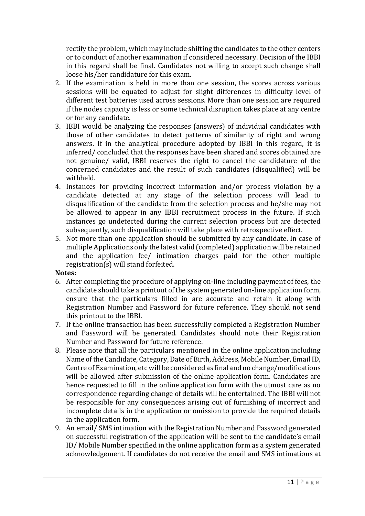rectify the problem, which may include shifting the candidates to the other centers or to conduct of another examination if considered necessary. Decision of the IBBI in this regard shall be final. Candidates not willing to accept such change shall loose his/her candidature for this exam.

- 2. If the examination is held in more than one session, the scores across various sessions will be equated to adjust for slight differences in difficulty level of different test batteries used across sessions. More than one session are required if the nodes capacity is less or some technical disruption takes place at any centre or for any candidate.
- 3. IBBI would be analyzing the responses (answers) of individual candidates with those of other candidates to detect patterns of similarity of right and wrong answers. If in the analytical procedure adopted by IBBI in this regard, it is inferred/ concluded that the responses have been shared and scores obtained are not genuine/ valid, IBBI reserves the right to cancel the candidature of the concerned candidates and the result of such candidates (disqualified) will be withheld.
- 4. Instances for providing incorrect information and/or process violation by a candidate detected at any stage of the selection process will lead to disqualification of the candidate from the selection process and he/she may not be allowed to appear in any IBBI recruitment process in the future. If such instances go undetected during the current selection process but are detected subsequently, such disqualification will take place with retrospective effect.
- 5. Not more than one application should be submitted by any candidate. In case of multiple Applications only the latest valid (completed) application will be retained and the application fee/ intimation charges paid for the other multiple registration(s) will stand forfeited.

### **Notes:**

- 6. After completing the procedure of applying on-line including payment of fees, the candidate should take a printout of the system generated on-line application form, ensure that the particulars filled in are accurate and retain it along with Registration Number and Password for future reference. They should not send this printout to the IBBI.
- 7. If the online transaction has been successfully completed a Registration Number and Password will be generated. Candidates should note their Registration Number and Password for future reference.
- 8. Please note that all the particulars mentioned in the online application including Name of the Candidate, Category, Date of Birth, Address, Mobile Number, Email ID, Centre of Examination, etc will be considered as final and no change/modifications will be allowed after submission of the online application form. Candidates are hence requested to fill in the online application form with the utmost care as no correspondence regarding change of details will be entertained. The IBBI will not be responsible for any consequences arising out of furnishing of incorrect and incomplete details in the application or omission to provide the required details in the application form.
- 9. An email/ SMS intimation with the Registration Number and Password generated on successful registration of the application will be sent to the candidate's email ID/ Mobile Number specified in the online application form as a system generated acknowledgement. If candidates do not receive the email and SMS intimations at